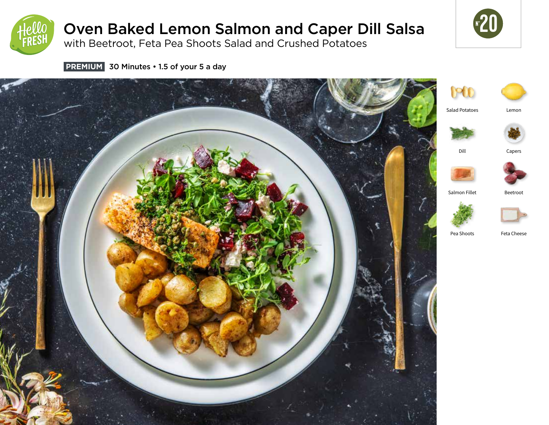

# Oven Baked Lemon Salmon and Caper Dill Salsa

with Beetroot, Feta Pea Shoots Salad and Crushed Potatoes



**PREMIUM** 30 Minutes • 1.5 of your 5 a day